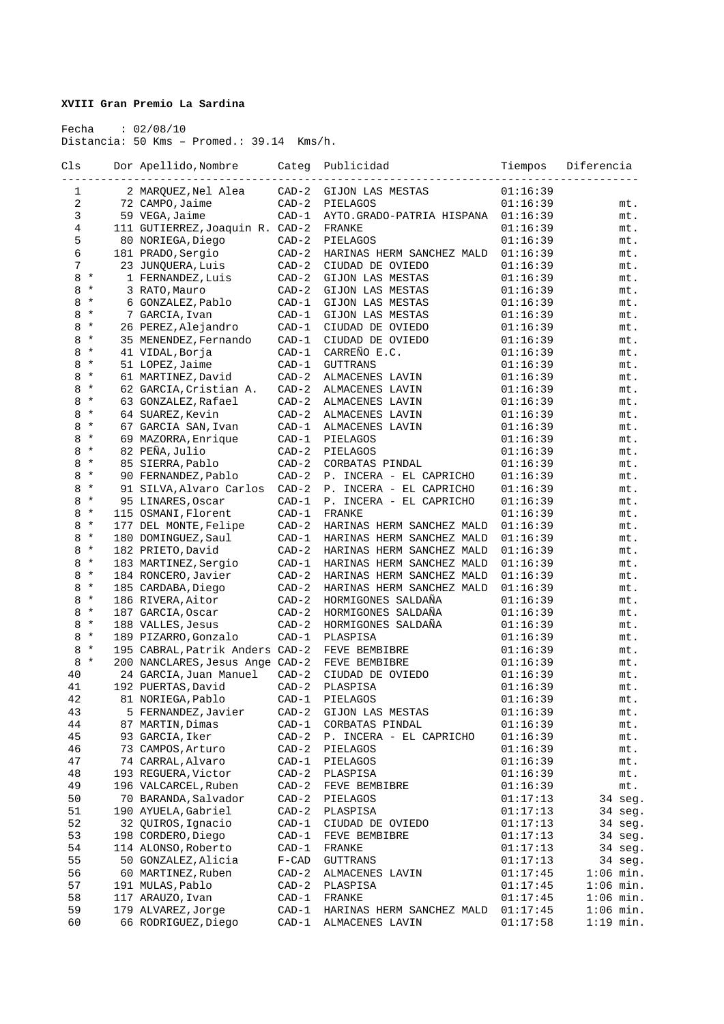## **XVIII Gran Premio La Sardina**

 Fecha : 02/08/10 Distancia: 50 Kms – Promed.: 39.14 Kms/h.

| Cls      |          | Dor Apellido, Nombre                     | Categ   | Publicidad                | Tiempos  | Diferencia  |
|----------|----------|------------------------------------------|---------|---------------------------|----------|-------------|
|          |          |                                          |         |                           |          |             |
| 1        |          | 2 MARQUEZ, Nel Alea                      | $CAD-2$ | GIJON LAS MESTAS          | 01:16:39 |             |
| 2        |          | 72 CAMPO, Jaime                          | $CAD-2$ | PIELAGOS                  | 01:16:39 | mt.         |
| 3        |          | 59 VEGA, Jaime                           | $CAD-1$ | AYTO.GRADO-PATRIA HISPANA | 01:16:39 | mt.         |
| 4        |          | 111 GUTIERREZ, Joaquin R. CAD-2          |         | FRANKE                    | 01:16:39 | mt.         |
| 5        |          | 80 NORIEGA, Diego                        | $CAD-2$ | PIELAGOS                  | 01:16:39 | mt.         |
| 6        |          | 181 PRADO, Sergio                        | $CAD-2$ | HARINAS HERM SANCHEZ MALD | 01:16:39 | mt.         |
| 7        |          | 23 JUNQUERA, Luis                        | $CAD-2$ | CIUDAD DE OVIEDO          | 01:16:39 | mt.         |
| 8        | $\star$  | 1 FERNANDEZ, Luis                        | $CAD-2$ | GIJON LAS MESTAS          | 01:16:39 | mt.         |
| 8        | $\star$  | 3 RATO, Mauro                            | $CAD-2$ | GIJON LAS MESTAS          | 01:16:39 | mt.         |
| 8        | $\star$  | 6 GONZALEZ, Pablo                        | $CAD-1$ | GIJON LAS MESTAS          | 01:16:39 | mt.         |
| 8        | $\star$  | 7 GARCIA, Ivan                           | $CAD-1$ | GIJON LAS MESTAS          | 01:16:39 | mt.         |
| 8        | $\ast$   | 26 PEREZ, Alejandro                      | $CAD-1$ | CIUDAD DE OVIEDO          | 01:16:39 | mt.         |
| 8        | $\ast$   | 35 MENENDEZ, Fernando                    | $CAD-1$ | CIUDAD DE OVIEDO          | 01:16:39 | mt.         |
| 8        | $\star$  | 41 VIDAL, Borja                          | $CAD-1$ | CARREÑO E.C.              | 01:16:39 | mt.         |
| 8        | $\star$  | 51 LOPEZ, Jaime                          | $CAD-1$ | <b>GUTTRANS</b>           | 01:16:39 | mt.         |
| 8        | $\ast$   | 61 MARTINEZ, David                       | $CAD-2$ | ALMACENES LAVIN           | 01:16:39 | mt.         |
| 8        | $\ast$   | 62 GARCIA, Cristian A.                   | $CAD-2$ | ALMACENES LAVIN           | 01:16:39 | mt.         |
| 8        | $\star$  | 63 GONZALEZ, Rafael                      | $CAD-2$ | ALMACENES LAVIN           | 01:16:39 | mt.         |
| 8        | $\star$  | 64 SUAREZ, Kevin                         | $CAD-2$ | ALMACENES LAVIN           | 01:16:39 | mt.         |
| 8        | $\ast$   | 67 GARCIA SAN, Ivan                      | $CAD-1$ | ALMACENES LAVIN           | 01:16:39 | mt.         |
| 8        | $\ast$   | 69 MAZORRA, Enrique                      | $CAD-1$ | PIELAGOS                  | 01:16:39 | mt.         |
| 8        | $\star$  | 82 PEÑA, Julio                           | $CAD-2$ | PIELAGOS                  | 01:16:39 | mt.         |
| 8        | $\star$  | 85 SIERRA, Pablo                         | $CAD-2$ | CORBATAS PINDAL           | 01:16:39 | mt.         |
| 8        | $^\star$ | 90 FERNANDEZ, Pablo                      | $CAD-2$ | P. INCERA - EL CAPRICHO   | 01:16:39 | mt.         |
| 8        | $\star$  | 91 SILVA, Alvaro Carlos                  | $CAD-2$ | P. INCERA - EL CAPRICHO   | 01:16:39 | mt.         |
| 8        | $\star$  | 95 LINARES, Oscar                        | $CAD-1$ | P. INCERA - EL CAPRICHO   | 01:16:39 | mt.         |
| 8        | $\star$  | 115 OSMANI, Florent                      | $CAD-1$ | FRANKE                    | 01:16:39 | mt.         |
| 8        | $\star$  | 177 DEL MONTE, Felipe                    | $CAD-2$ | HARINAS HERM SANCHEZ MALD | 01:16:39 | mt.         |
| 8        | $\star$  | 180 DOMINGUEZ, Saul                      | $CAD-1$ | HARINAS HERM SANCHEZ MALD | 01:16:39 | mt.         |
| 8        | $\star$  | 182 PRIETO, David                        | $CAD-2$ | HARINAS HERM SANCHEZ MALD | 01:16:39 | mt.         |
| 8        | $\star$  | 183 MARTINEZ, Sergio                     | $CAD-1$ | HARINAS HERM SANCHEZ MALD | 01:16:39 | mt.         |
| 8        | $\star$  | 184 RONCERO, Javier                      | $CAD-2$ | HARINAS HERM SANCHEZ MALD | 01:16:39 | mt.         |
| 8        | $\star$  | 185 CARDABA, Diego                       | $CAD-2$ | HARINAS HERM SANCHEZ MALD | 01:16:39 | mt.         |
| 8        | $\star$  | 186 RIVERA, Aitor                        | $CAD-2$ | HORMIGONES SALDAÑA        | 01:16:39 | mt.         |
| 8        | $\star$  | 187 GARCIA, Oscar                        | $CAD-2$ | HORMIGONES SALDAÑA        | 01:16:39 | mt.         |
| 8        | $\star$  | 188 VALLES, Jesus                        | $CAD-2$ | HORMIGONES SALDAÑA        | 01:16:39 | mt.         |
| 8        | $\star$  | 189 PIZARRO, Gonzalo                     | $CAD-1$ | PLASPISA                  | 01:16:39 | mt.         |
| 8        | $\star$  | 195 CABRAL, Patrik Anders CAD-2          |         | FEVE BEMBIBRE             | 01:16:39 | mt.         |
| 8        | $\star$  | 200 NANCLARES, Jesus Ange CAD-2          |         | FEVE BEMBIBRE             | 01:16:39 | mt.         |
|          |          | 24 GARCIA, Juan Manuel                   | $CAD-2$ |                           |          |             |
| 40<br>41 |          |                                          | $CAD-2$ | CIUDAD DE OVIEDO          | 01:16:39 | mt.         |
| 42       |          | 192 PUERTAS, David                       |         | PLASPISA                  | 01:16:39 | mt.         |
|          |          | 81 NORIEGA, Pablo<br>5 FERNANDEZ, Javier | $CAD-1$ | PIELAGOS                  | 01:16:39 | mt.         |
| 43       |          |                                          | $CAD-2$ | GIJON LAS MESTAS          | 01:16:39 | mt.         |
| 44       |          | 87 MARTIN, Dimas                         | $CAD-1$ | CORBATAS PINDAL           | 01:16:39 | mt.         |
| 45       |          | 93 GARCIA, Iker                          | $CAD-2$ | P. INCERA - EL CAPRICHO   | 01:16:39 | mt.         |
| 46       |          | 73 CAMPOS, Arturo                        | $CAD-2$ | PIELAGOS                  | 01:16:39 | mt.         |
| 47       |          | 74 CARRAL, Alvaro                        | $CAD-1$ | PIELAGOS                  | 01:16:39 | mt.         |
| 48       |          | 193 REGUERA, Victor                      | $CAD-2$ | PLASPISA                  | 01:16:39 | mt.         |
| 49       |          | 196 VALCARCEL, Ruben                     | $CAD-2$ | FEVE BEMBIBRE             | 01:16:39 | mt.         |
| 50       |          | 70 BARANDA, Salvador                     | $CAD-2$ | PIELAGOS                  | 01:17:13 | 34 seg.     |
| 51       |          | 190 AYUELA, Gabriel                      | $CAD-2$ | PLASPISA                  | 01:17:13 | 34 seg.     |
| 52       |          | 32 QUIROS, Ignacio                       | $CAD-1$ | CIUDAD DE OVIEDO          | 01:17:13 | 34 seg.     |
| 53       |          | 198 CORDERO, Diego                       | $CAD-1$ | FEVE BEMBIBRE             | 01:17:13 | 34 seg.     |
| 54       |          | 114 ALONSO, Roberto                      | $CAD-1$ | FRANKE                    | 01:17:13 | 34 seg.     |
| 55       |          | 50 GONZALEZ, Alicia                      | $F-CAD$ | <b>GUTTRANS</b>           | 01:17:13 | 34 seg.     |
| 56       |          | 60 MARTINEZ, Ruben                       | $CAD-2$ | ALMACENES LAVIN           | 01:17:45 | $1:06$ min. |
| 57       |          | 191 MULAS, Pablo                         | $CAD-2$ | PLASPISA                  | 01:17:45 | $1:06$ min. |
| 58       |          | 117 ARAUZO, Ivan                         | $CAD-1$ | FRANKE                    | 01:17:45 | $1:06$ min. |
| 59       |          | 179 ALVAREZ, Jorge                       | $CAD-1$ | HARINAS HERM SANCHEZ MALD | 01:17:45 | $1:06$ min. |
| 60       |          | 66 RODRIGUEZ, Diego                      | $CAD-1$ | ALMACENES LAVIN           | 01:17:58 | $1:19$ min. |